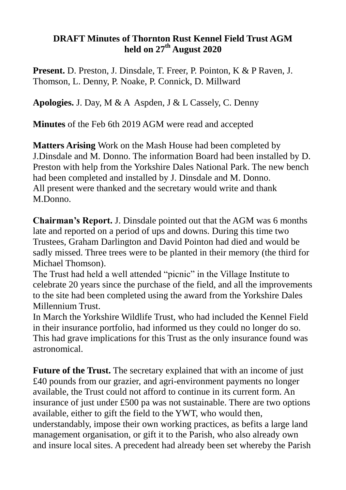## **DRAFT Minutes of Thornton Rust Kennel Field Trust AGM held on 27th August 2020**

**Present.** D. Preston, J. Dinsdale, T. Freer, P. Pointon, K & P Raven, J. Thomson, L. Denny, P. Noake, P. Connick, D. Millward

**Apologies.** J. Day, M & A Aspden, J & L Cassely, C. Denny

**Minutes** of the Feb 6th 2019 AGM were read and accepted

**Matters Arising** Work on the Mash House had been completed by J.Dinsdale and M. Donno. The information Board had been installed by D. Preston with help from the Yorkshire Dales National Park. The new bench had been completed and installed by J. Dinsdale and M. Donno. All present were thanked and the secretary would write and thank M.Donno.

**Chairman's Report.** J. Dinsdale pointed out that the AGM was 6 months late and reported on a period of ups and downs. During this time two Trustees, Graham Darlington and David Pointon had died and would be sadly missed. Three trees were to be planted in their memory (the third for Michael Thomson).

The Trust had held a well attended "picnic" in the Village Institute to celebrate 20 years since the purchase of the field, and all the improvements to the site had been completed using the award from the Yorkshire Dales Millennium Trust.

In March the Yorkshire Wildlife Trust, who had included the Kennel Field in their insurance portfolio, had informed us they could no longer do so. This had grave implications for this Trust as the only insurance found was astronomical.

**Future of the Trust.** The secretary explained that with an income of just £40 pounds from our grazier, and agri-environment payments no longer available, the Trust could not afford to continue in its current form. An insurance of just under £500 pa was not sustainable. There are two options available, either to gift the field to the YWT, who would then, understandably, impose their own working practices, as befits a large land management organisation, or gift it to the Parish, who also already own and insure local sites. A precedent had already been set whereby the Parish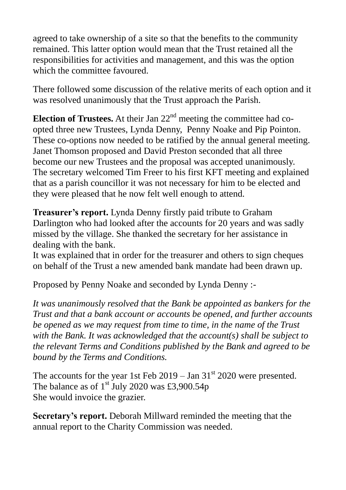agreed to take ownership of a site so that the benefits to the community remained. This latter option would mean that the Trust retained all the responsibilities for activities and management, and this was the option which the committee favoured.

There followed some discussion of the relative merits of each option and it was resolved unanimously that the Trust approach the Parish.

**Election of Trustees.** At their Jan  $22<sup>nd</sup>$  meeting the committee had coopted three new Trustees, Lynda Denny, Penny Noake and Pip Pointon. These co-options now needed to be ratified by the annual general meeting. Janet Thomson proposed and David Preston seconded that all three become our new Trustees and the proposal was accepted unanimously. The secretary welcomed Tim Freer to his first KFT meeting and explained that as a parish councillor it was not necessary for him to be elected and they were pleased that he now felt well enough to attend.

**Treasurer's report.** Lynda Denny firstly paid tribute to Graham Darlington who had looked after the accounts for 20 years and was sadly missed by the village. She thanked the secretary for her assistance in dealing with the bank.

It was explained that in order for the treasurer and others to sign cheques on behalf of the Trust a new amended bank mandate had been drawn up.

Proposed by Penny Noake and seconded by Lynda Denny :-

*It was unanimously resolved that the Bank be appointed as bankers for the Trust and that a bank account or accounts be opened, and further accounts be opened as we may request from time to time, in the name of the Trust with the Bank. It was acknowledged that the account(s) shall be subject to the relevant Terms and Conditions published by the Bank and agreed to be bound by the Terms and Conditions.*

The accounts for the year 1st Feb  $2019 - \text{Jan } 31^{\text{st}} 2020$  were presented. The balance as of  $1<sup>st</sup>$  July 2020 was £3,900.54p She would invoice the grazier.

**Secretary's report.** Deborah Millward reminded the meeting that the annual report to the Charity Commission was needed.